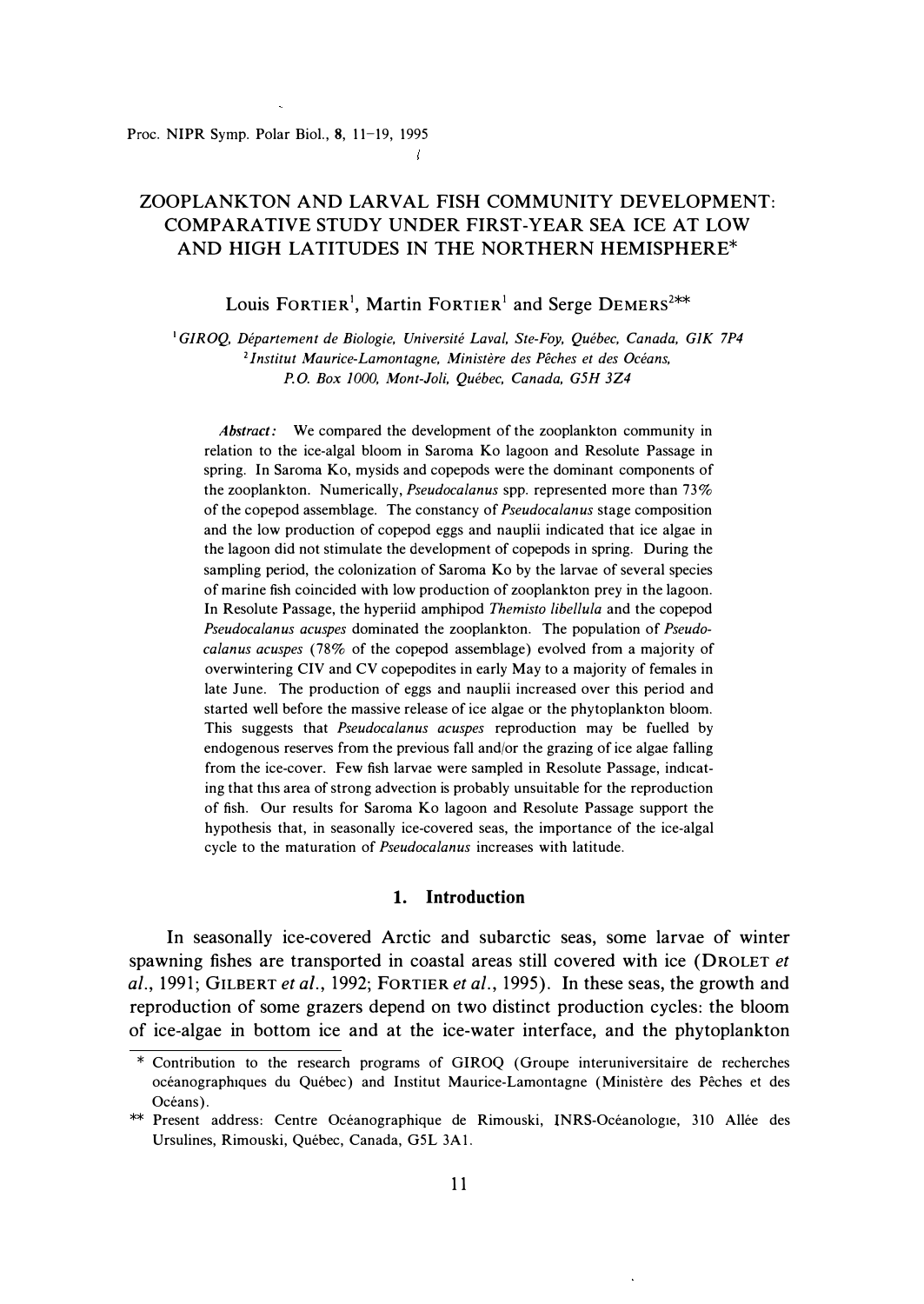# $\mathcal{L}_{\mathcal{L}}$

# ZOOPLANKTON AND LARVAL FISH COMMUNITY DEVELOPMENT: COMPARATIVE STUDY UNDER FIRST-YEAR SEA ICE AT LOW AND HIGH LATITUDES IN THE NORTHERN HEMISPHERE\*

Louis FORTIER<sup>1</sup>, Martin FORTIER<sup>1</sup> and Serge DEMERS<sup>2\*\*</sup>

<sup>1</sup>GIROQ, Département de Biologie, Université Laval, Ste-Foy, Québec, Canada, GIK 7P4 **<sup>2</sup>***lnstitut Maurice-Lamontagne, Ministere des Peches et des Oceans, P. 0. Box 1000, Mont-Joli, Quebec, Canada, G5H 3Z4* 

*Abstract:* We compared the development of the zooplankton community in relation to the ice-algal bloom in Saroma Ko lagoon and Resolute Passage in spring. In Saroma Ko, mysids and copepods were the dominant components of the zooplankton. Numerically, *Pseudocalanus* spp. represented more than 73% of the copepod assemblage. The constancy of *Pseudocalanus* stage composition and the low production of copepod eggs and nauplii indicated that ice algae in the lagoon did not stimulate the development of copepods in spring. During the sampling period, the colonization of Saroma Ko by the larvae of several species of marine fish coincided with low production of zooplankton prey in the lagoon. In Resolute Passage, the hyperiid amphipod *Themisto libellula* and the copepod *Pseudocalanus acuspes* dominated the zooplankton. The population of *Pseudocalanus acuspes* (78% of the copepod assemblage) evolved from a majority of overwintering CIV and CV copepodites in early May to a majority of females in late June. The production of eggs and nauplii increased over this period and started well before the massive release of ice algae or the phytoplankton bloom. This suggests that *Pseudocalanus acuspes* reproduction may be fuelled by endogenous reserves from the previous fall and/or the grazing of ice algae falling from the ice-cover. Few fish larvae were sampled in Resolute Passage, indicating that this area of strong advection is probably unsuitable for the reproduction of fish. Our results for Saroma Ko lagoon and Resolute Passage support the hypothesis that, in seasonally ice-covered seas, the importance of the ice-algal cycle to the maturation of *Pseudocalanus* increases with latitude.

### **1. Introduction**

In seasonally ice-covered Arctic and subarctic seas, some larvae of winter spawning fishes are transported in coastal areas still covered with ice (DROLET *et al.,* 1991; GILBERT *et a/.,* 1992; FORTIER *et al.,* 1995). In these seas, the growth and reproduction of some grazers depend on two distinct production cycles: the bloom of ice-algae in bottom ice and at the ice-water interface, and the phytoplankton

<sup>\*</sup> Contribution to the research programs of **GIROQ** (Groupe interuniversitaire de recherches oceanographiques du Quebec) and Institut Maurice-Lamontagne (Ministere des Peches et des Océans).

<sup>\*\*</sup> Present address: Centre Oceanographique de Rimouski, INRS-Oceanologie, 310 Allee des Ursulines, Rimouski, Quebec, Canada, G5L 3Al.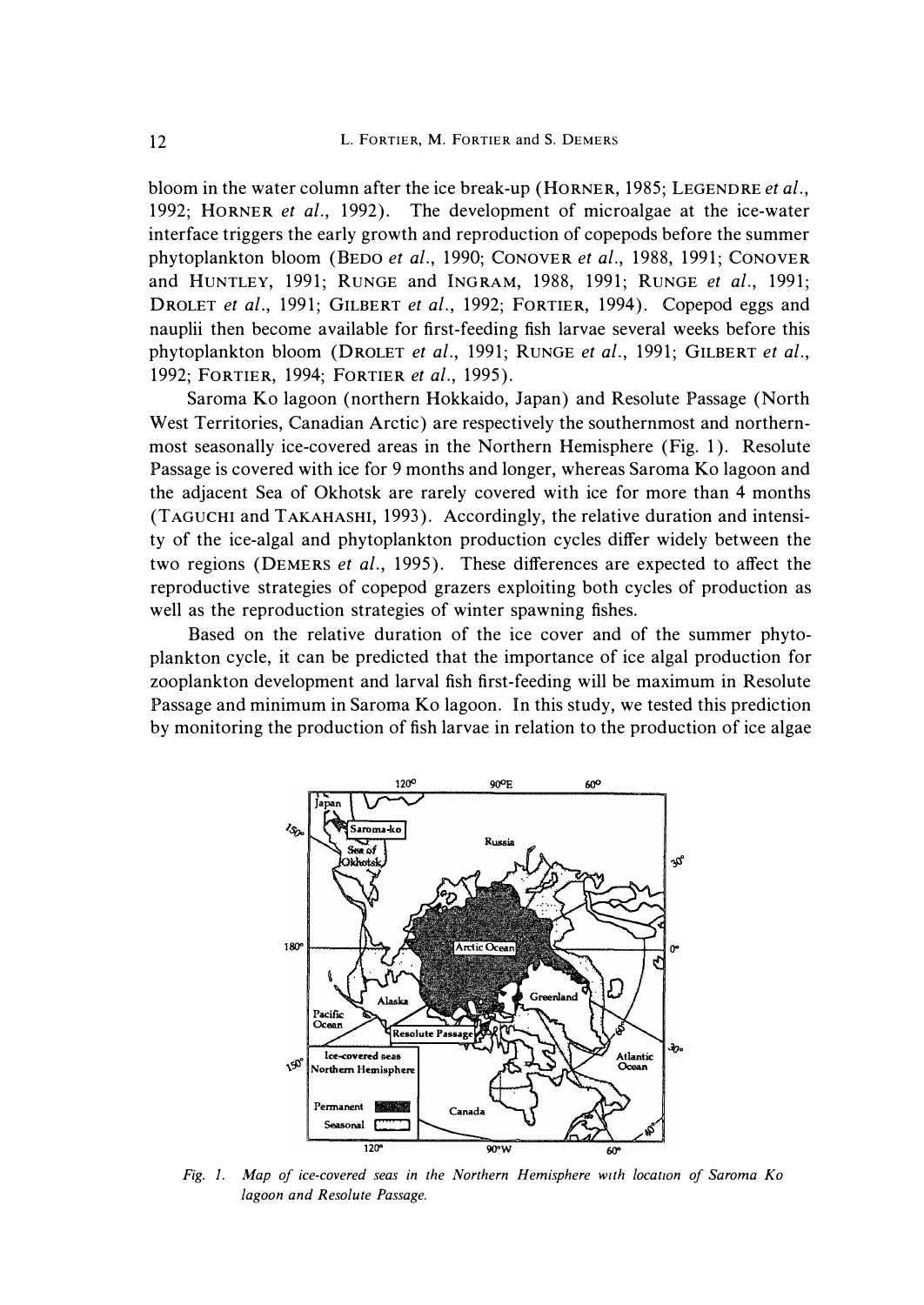bloom in the water column after the ice break-up (HORNER, 1985; LEGENDRE *et al.,*  1992; HORNER *et al.,* 1992). The development of microalgae at the ice-water interface triggers the early growth and reproduction of copepods before the summer phytoplankton bloom (BEDO *et al.,* 1990; CONOVER *et al.,* 1988, 1991; CONOVER and HUNTLEY, 1991; RUNGE and INGRAM, 1988, 1991; RUNGE *et al.,* 1991; DROLET *et al.,* 1991; GILBERT *et al.,* 1992; FORTIER, 1994). Copepod eggs and nauplii then become available for first-feeding fish larvae several weeks before this phytoplankton bloom (DROLET *et al.,* 1991; RUNGE *et al.,* 1991; GILBERT *et al.,*  1992; FORTIER, 1994; FORTIER *et al.,* 1995).

Saroma Ko lagoon (northern Hokkaido, Japan) and Resolute Passage (North West Territories, Canadian Arctic) are respectively the southernmost and northernmost seasonally ice-covered areas in the Northern Hemisphere (Fig. 1 ). Resolute Passage is covered with ice for 9 months and longer, whereas Saroma Ko lagoon and the adjacent Sea of Okhotsk are rarely covered with ice for more than 4 months (TAGUCHI and TAKAHASHI, 1993). Accordingly, the relative duration and intensity of the ice-algal and phytoplankton production cycles differ widely between the two regions (DEMERS *et al.,* 1995). These differences are expected to affect the reproductive strategies of copepod grazers exploiting both cycles of production as well as the reproduction strategies of winter spawning fishes.

Based on the relative duration of the ice cover and of the summer phytoplankton cycle, it can be predicted that the importance of ice algal production for zooplankton development and larval fish first-feeding will be maximum in Resolute Passage and minimum in Saroma Ko lagoon. In this study, we tested this prediction by monitoring the production of fish larvae in relation to the production of ice algae



Fig. 1. Map of ice-covered seas in the Northern Hemisphere with location of Saroma Ko *lagoon and Resolute Passage.*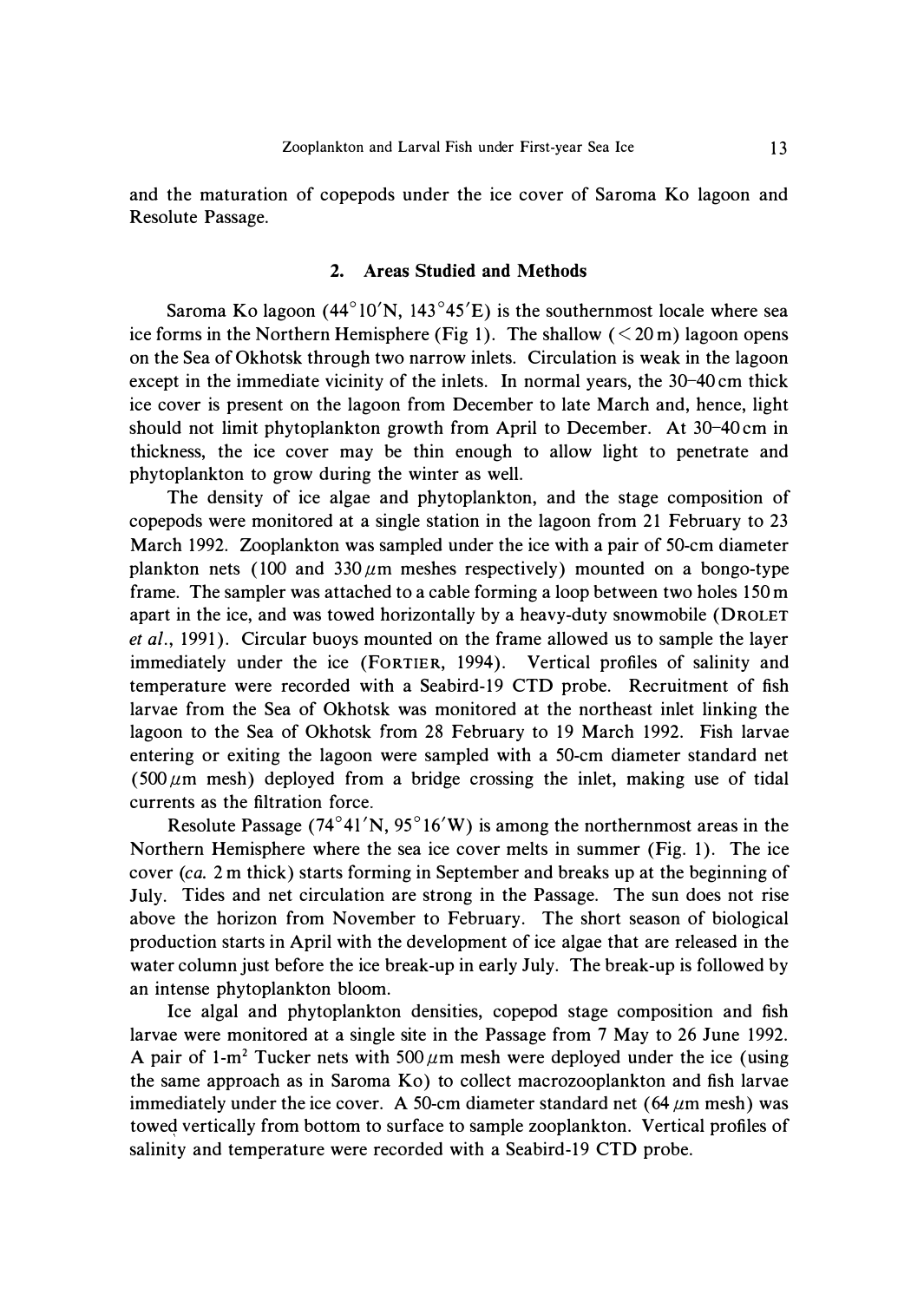and the maturation of copepods under the ice cover of Saroma Ko lagoon and Resolute Passage.

# **2. Areas Studied and Methods**

Saroma Ko lagoon  $(44^{\circ}10^{\prime}N, 143^{\circ}45^{\prime}E)$  is the southernmost locale where sea ice forms in the Northern Hemisphere (Fig 1). The shallow  $(< 20 \,\text{m})$  lagoon opens on the Sea of Okhotsk through two narrow inlets. Circulation is weak in the lagoon except in the immediate vicinity of the inlets. In normal years, the 30-40 cm thick ice cover is present on the lagoon from December to late March and, hence, light should not limit phytoplankton growth from April to December. At 30-40 cm in thickness, the ice cover may be thin enough to allow light to penetrate and phytoplankton to grow during the winter as well.

The density of ice algae and phytoplankton, and the stage composition of copepods were monitored at a single station in the lagoon from 21 February to 23 March 1992. Zooplankton was sampled under the ice with a pair of 50-cm diameter plankton nets (100 and  $330 \mu m$  meshes respectively) mounted on a bongo-type frame. The sampler was attached to a cable forming a loop between two holes 150 m apart in the ice, and was towed horizontally by a heavy-duty snowmobile (DROLET *et al.,* 1991). Circular buoys mounted on the frame allowed us to sample the layer immediately under the ice (FORTIER, 1994). Vertical profiles of salinity and temperature were recorded with a Seabird-19 CTD probe. Recruitment of fish larvae from the Sea of Okhotsk was monitored at the northeast inlet linking the lagoon to the Sea of Okhotsk from 28 February to 19 March 1992. Fish larvae entering or exiting the lagoon were sampled with a 50-cm diameter standard net ( $500 \mu m$  mesh) deployed from a bridge crossing the inlet, making use of tidal currents as the filtration force.

Resolute Passage  $(74^{\circ}41'N, 95^{\circ}16'W)$  is among the northernmost areas in the Northern Hemisphere where the sea ice cover melts in summer (Fig. 1). The ice cover ( *ca.* 2 m thick) starts forming in September and breaks up at the beginning of July. Tides and net circulation are strong in the Passage. The sun does not rise above the horizon from November to February. The short season of biological production starts in April with the development of ice algae that are released in the water column just before the ice break-up in early July. The break-up is followed by an intense phytoplankton bloom.

Ice algal and phytoplankton densities, copepod stage composition and fish larvae were monitored at a single site in the Passage from 7 May to 26 June 1992. A pair of 1-m<sup>2</sup> Tucker nets with 500  $\mu$ m mesh were deployed under the ice (using the same approach as in Saroma Ko) to collect macrozooplankton and fish larvae immediately under the ice cover. A 50-cm diameter standard net  $(64 \mu m$  mesh) was towed vertically from bottom to surface to sample zooplankton. Vertical profiles of salinity and temperature were recorded with a Seabird-19 CTD probe.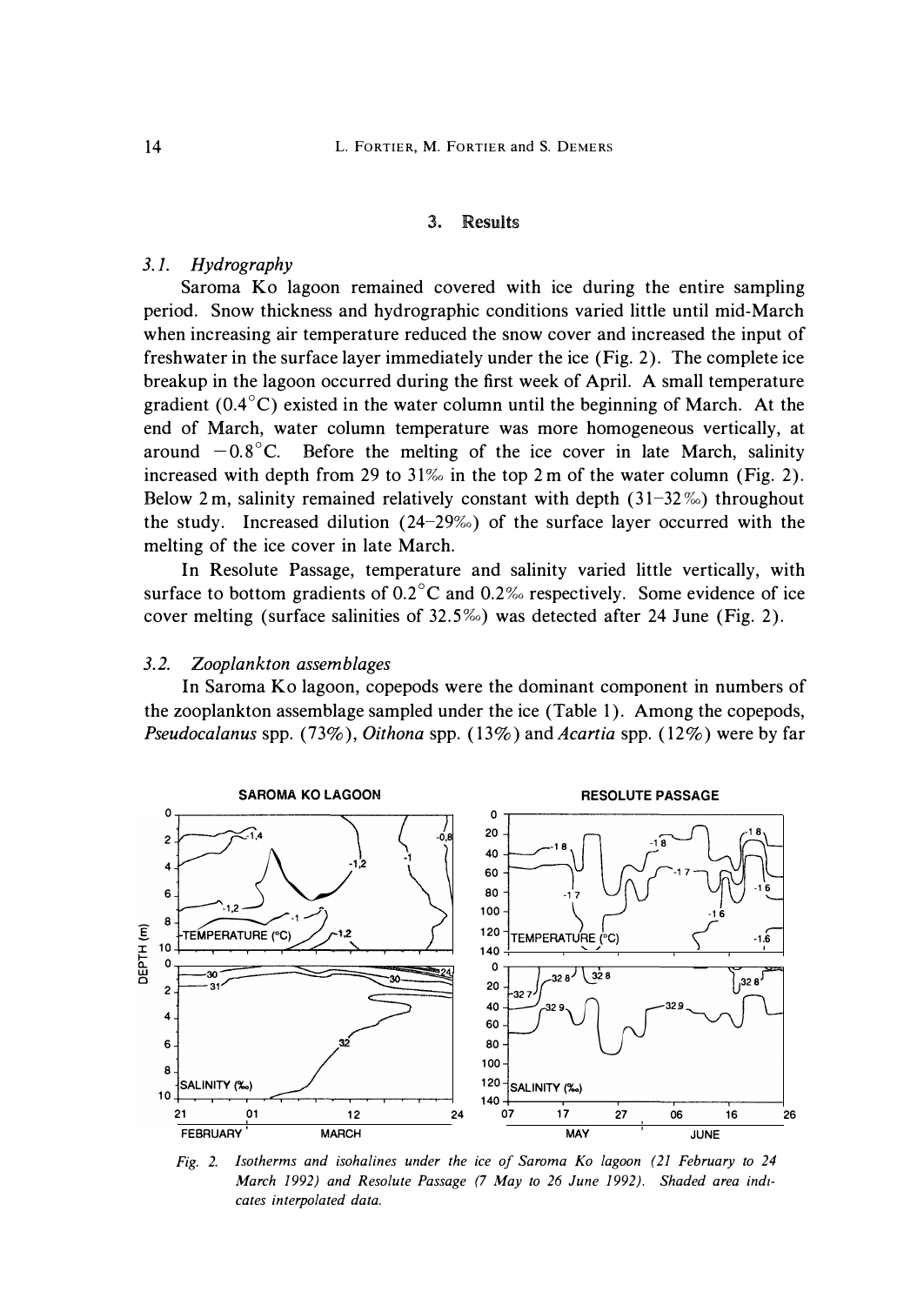### *3. Results*

# *3.1. Hydrography*

**Saroma Ko lagoon remained covered with ice during the entire sampling period. Snow thickness and hydrographic conditions varied little until mid-March when increasing air temperature reduced the snow cover and increased the input of freshwater in the surface layer immediately under the ice (Fig. 2). The complete ice breakup in the lagoon occurred during the first week of April. A small temperature gradient (0.4 ° C) existed in the water column until the beginning of March. At the end of March, water column temperature was more homogeneous vertically, at**  around  $-0.8$ °C. Before the melting of the ice cover in late March, salinity increased with depth from 29 to 31% in the top 2 m of the water column (Fig. 2). Below 2 m, salinity remained relatively constant with depth (31-32%) throughout the study. Increased dilution (24-29%) of the surface layer occurred with the **melting of the ice cover in late March.** 

**In Resolute Passage, temperature and salinity varied little vertically, with**  surface to bottom gradients of 0.2<sup>°</sup>C and 0.2% respectively. Some evidence of ice cover melting (surface salinities of 32.5%) was detected after 24 June (Fig. 2).

#### *3.2. Zooplankton assemblages*

**In Saroma Ko lagoon, copepods were the dominant component in numbers of the zooplankton assemblage sampled under the ice (Table 1). Among the copepods,**  *Pseudocalanus spp.* (73%), *Oithona spp.* (13%) and *Acartia spp.* (12%) were by far



*Fig. 2. Isotherms and isohalines under the ice of Saroma Ko lagoon (21 February to 24 March 1992) and Resolute Passage (7 May to 26 June 1992). Shaded area indicates interpolated data.*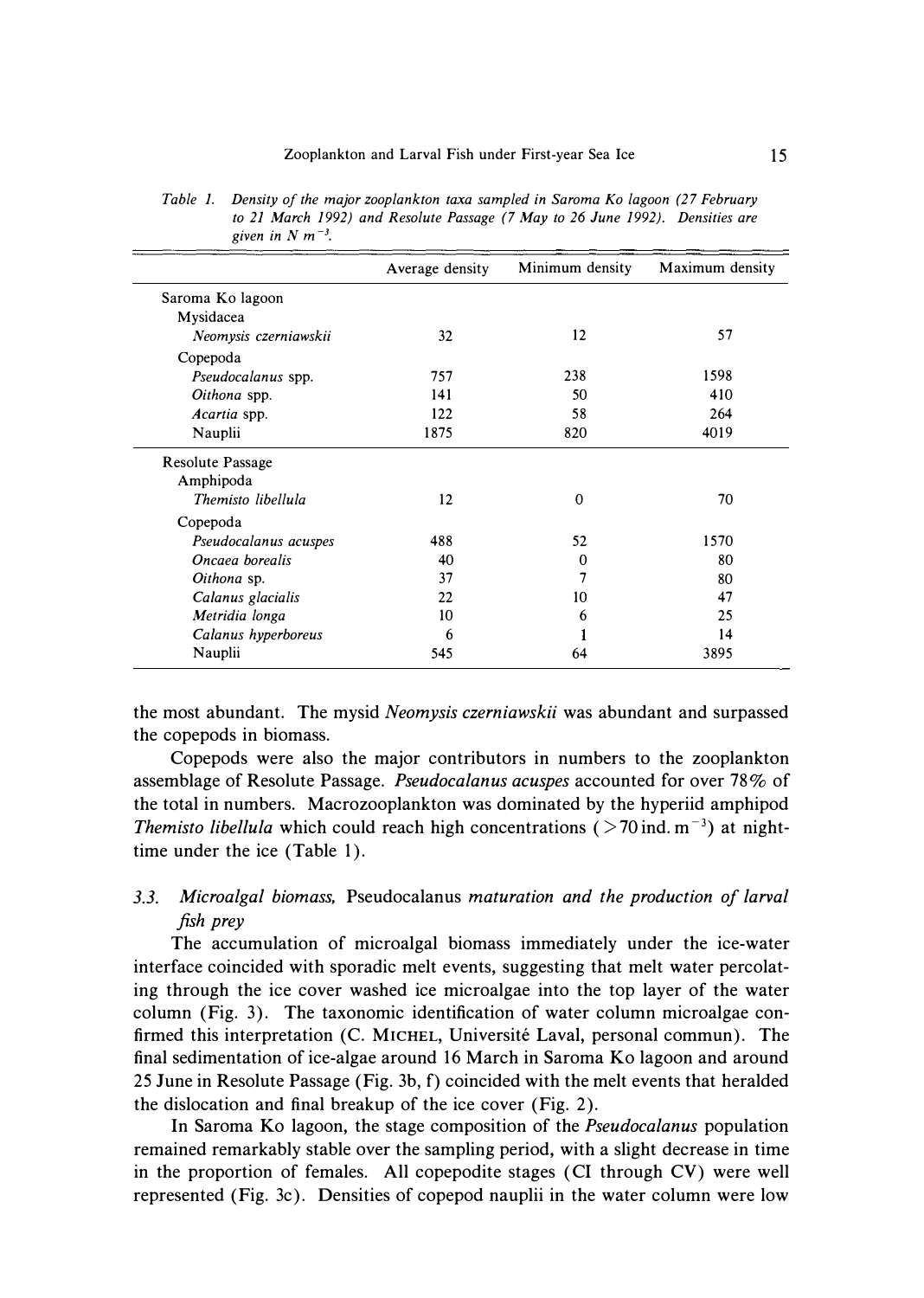|                         | Average density | Minimum density | Maximum density |
|-------------------------|-----------------|-----------------|-----------------|
| Saroma Ko lagoon        |                 |                 |                 |
| Mysidacea               |                 |                 |                 |
| Neomysis czerniawskii   | 32              | 12              | 57              |
| Copepoda                |                 |                 |                 |
| Pseudocalanus spp.      | 757             | 238             | 1598            |
| Oithona spp.            | 141             | 50              | 410             |
| Acartia spp.            | 122             | 58              | 264             |
| Nauplii                 | 1875            | 820             | 4019            |
| <b>Resolute Passage</b> |                 |                 |                 |
| Amphipoda               |                 |                 |                 |
| Themisto libellula      | 12              | $\Omega$        | 70              |
| Copepoda                |                 |                 |                 |
| Pseudocalanus acuspes   | 488             | 52              | 1570            |
| Oncaea borealis         | 40              | 0               | 80              |
| Oithona sp.             | 37              | 7               | 80              |
| Calanus glacialis       | 22              | 10              | 47              |
| Metridia longa          | 10              | 6               | 25              |
| Calanus hyperboreus     | 6               |                 | 14              |
| Nauplii                 | 545             | 64              | 3895            |

*Table 1. Density of the major zooplankton taxa sampled in Saroma Ko lagoon (2 7 February to 21 March 1992) and Resolute Passage (7 May to 26 June 1992). Densities are*  given in  $N$  m<sup> $-3$ </sup>.

**the most abundant. The mysid** *Neomysis czerniawskii* **was abundant and surpassed the copepods in biomass.** 

**Copepods were also the major contributors in numbers to the zooplankton assemblage of Resolute Passage.** *Pseudocalanus acuspes* **accounted for over 78% of the total in numbers. Macrozooplankton was dominated by the hyperiid amphipod**  *Themisto libellula* which could reach high concentrations ( $> 70$  ind. m<sup>-3</sup>) at night**time under the ice (Table 1).** 

# *3.3. Microalgal biomass,* **Pseudocalanus** *maturation and the production of larval fish prey*

**The accumulation of microalgal biomass immediately under the ice-water interface coincided with sporadic melt events, suggesting that melt water percolating through the ice cover washed ice microalgae into the top layer of the water column (Fig. 3). The taxonomic identification of water column microalgae confirmed this interpretation (C. MICHEL, Universite Laval, personal commun). The final sedimentation of ice-algae around 16 March in Saroma Ko lagoon and around 25 June in Resolute Passage (Fig. 3b, f) coincided with the melt events that heralded the dislocation and final breakup of the ice cover (Fig. 2).** 

**In Saroma Ko lagoon, the stage composition of the** *Pseudocalanus* **population remained remarkably stable over the sampling period, with a slight decrease in time in the proportion of females. All copepodite stages ( CI through CV) were well represented (Fig. 3c). Densities of copepod nauplii in the water column were low**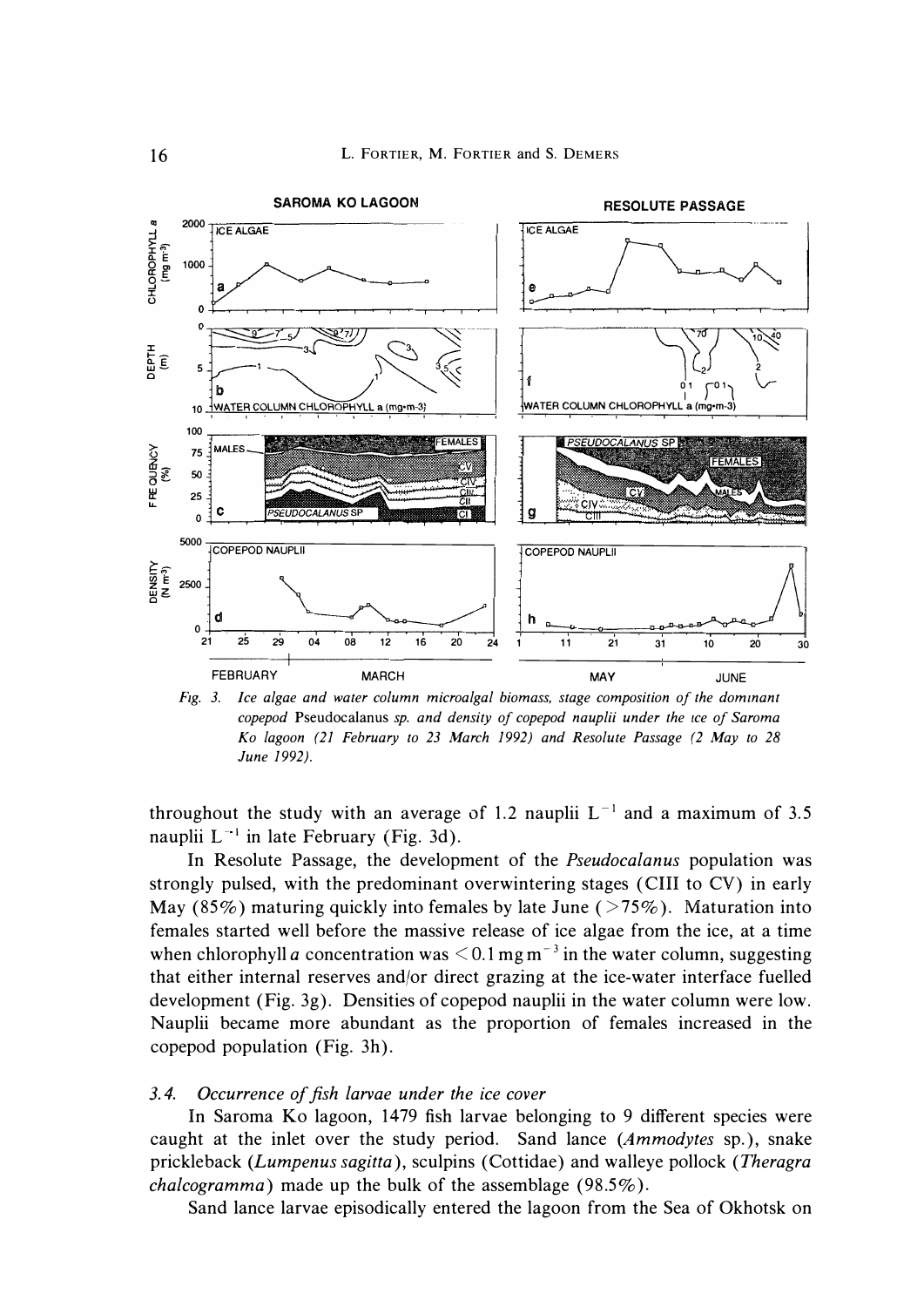

*Ftg. 3. Ice algae and water column microalgal biomass, stage composition of the dominant copepod* Pseudocalanus *sp. and density of copepod nauplii under the ice of Saroma Ko lagoon (21 February to 23 March 1992) and Resolute Passage (2 May to 28 June 1992).* 

throughout the study with an average of 1.2 nauplii  $L^{-1}$  and a maximum of 3.5 nauplii  $L^{-1}$  in late February (Fig. 3d).

In Resolute Passage, the development of the *Pseudocalanus* population was strongly pulsed, with the predominant overwintering stages ( CHI to CV) in early May (85%) maturing quickly into females by late June ( $>75\%$ ). Maturation into females started well before the massive release of ice algae from the ice, at a time when chlorophyll *a* concentration was  $\leq 0.1$  mg m<sup>-3</sup> in the water column, suggesting that either internal reserves and/or direct grazing at the ice-water interface fuelled development (Fig. 3g). Densities of copepod nauplii in the water column were low. Nauplii became more abundant as the proportion of females increased in the copepod population (Fig. 3h).

# *3. 4. Occurrence of fish larvae under the ice cover*

In Saroma Ko lagoon, 1479 fish larvae belonging to 9 different species were caught at the inlet over the study period. Sand lance *(Ammodytes* sp. ), snake prickleback (Lumpenus sagitta), sculpins (Cottidae) and walleye pollock (Theragra *chalcogramma)* made up the bulk of the assemblage (98.5% ).

Sand lance larvae episodically entered the lagoon from the Sea of Okhotsk on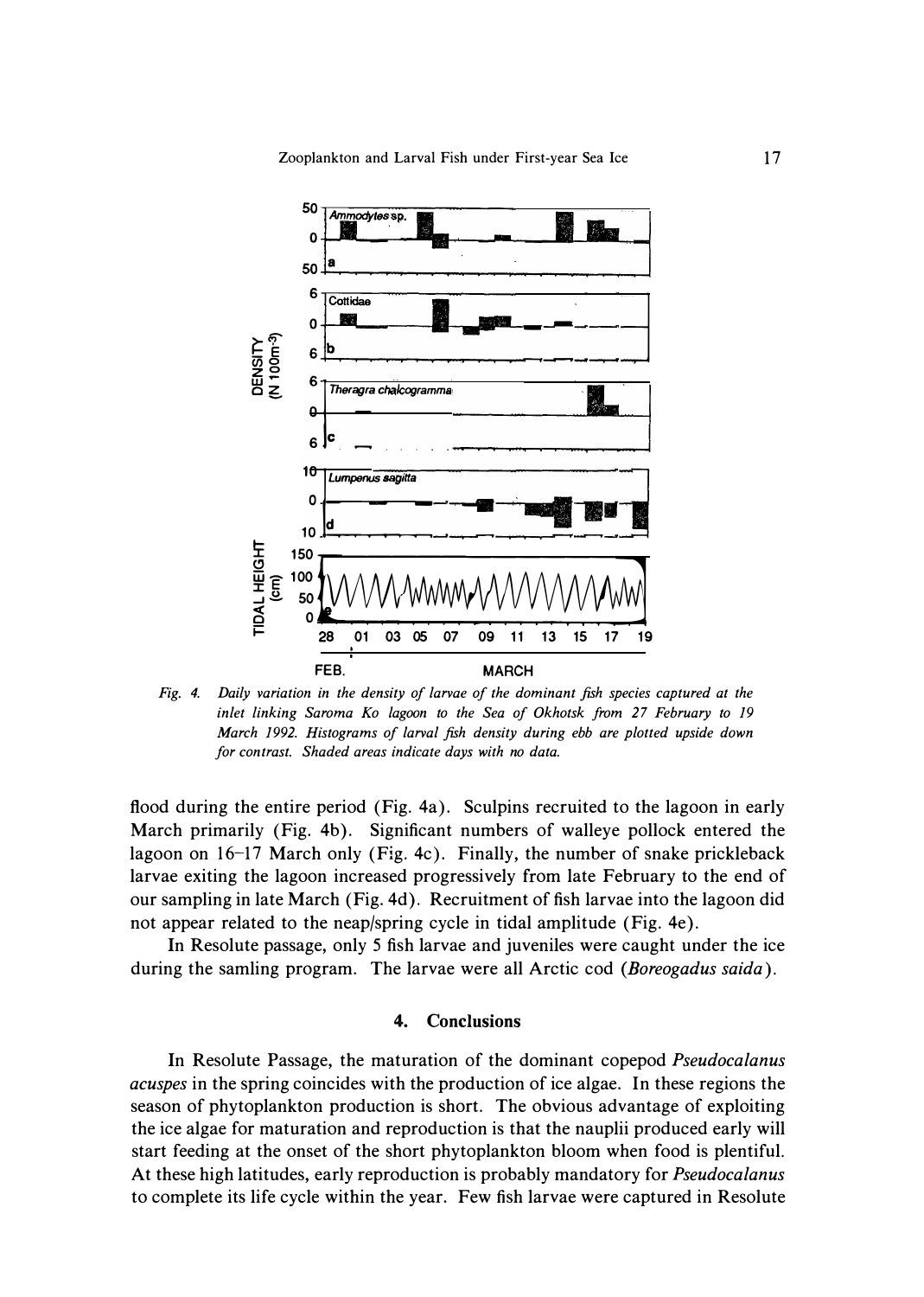

*Fig. 4. Daily variation in the density of larvae of the dominant fish species captured at the*  inlet linking Saroma Ko lagoon to the Sea of Okhotsk from 27 February to 19 *March 1992. Histograms of larval fish density during ebb are plotted upside down for contrast. Shaded areas indicate days with no data.* 

**flood during the entire period (Fig. 4a). Sculpins recruited to the lagoon in early March primarily (Fig. 4b). Significant numbers of walleye pollock entered the lagoon on 16-17 March only (Fig. 4c). Finally, the number of snake prickleback larvae exiting the lagoon increased progressively from late February to the end of our sampling in late March (Fig. 4d). Recruitment of fish larvae into the lagoon did not appear related to the neap/spring cycle in tidal amplitude (Fig. 4e).** 

**In Resolute passage, only 5 fish larvae and juveniles were caught under the ice during the samling program. The larvae were all Arctic cod** *(Boreogadus saida).* 

### **4. Conclusions**

**In Resolute Passage, the maturation of the dominant copepod** *Pseudocalanus acuspes* **in the spring coincides with the production of ice algae. In these regions the season of phytoplankton production is short. The obvious advantage of exploiting the ice algae for maturation and reproduction is that the nauplii produced early will start feeding at the onset of the short phytoplankton bloom when food is plentiful. At these high latitudes, early reproduction is probably mandatory for** *Pseudocalanus*  **to complete its life cycle within the year. Few fish larvae were captured in Resolute**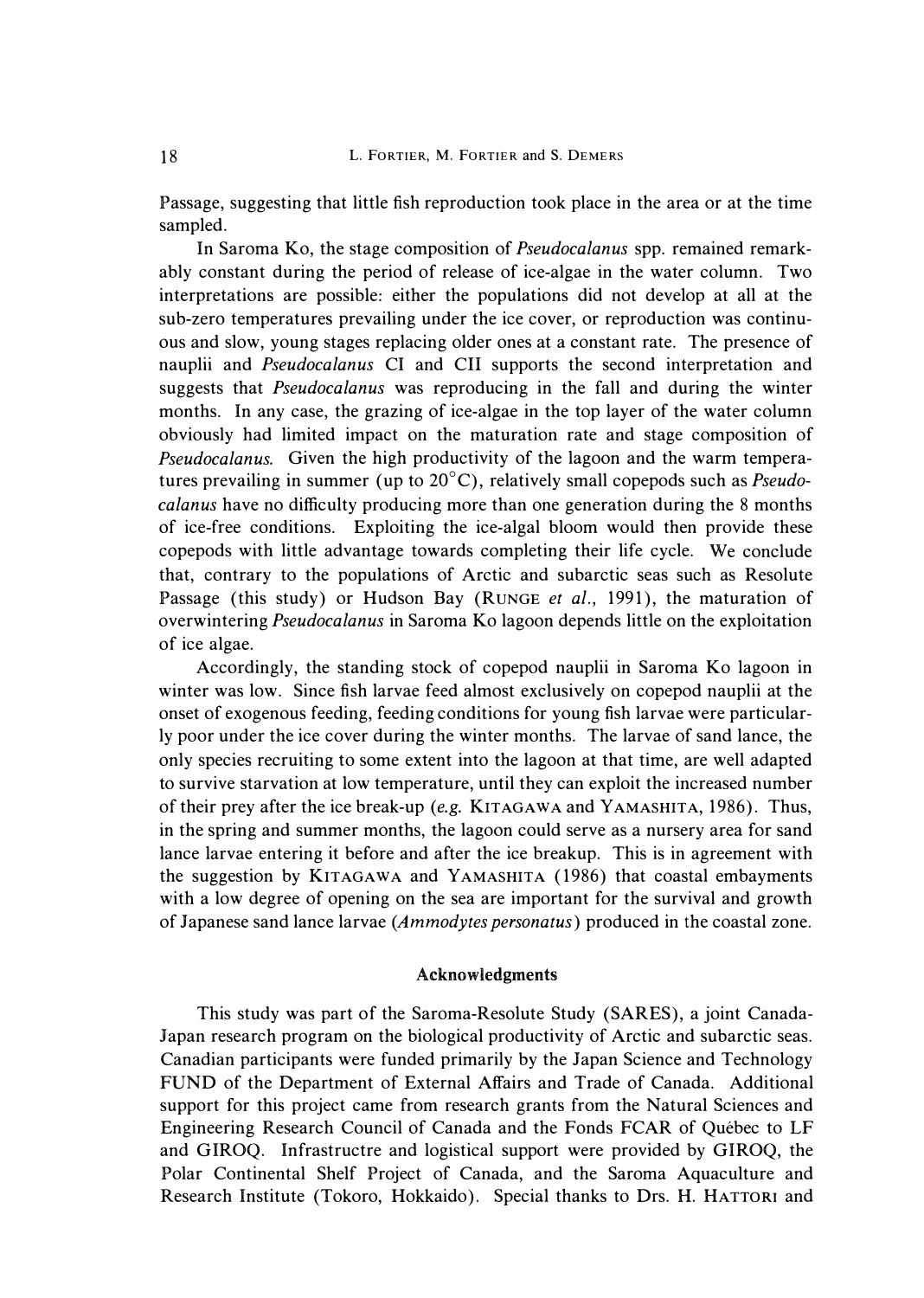Passage, suggesting that little fish reproduction took place in the area or at the time sampled.

In Saroma Ko, the stage composition of *Pseudocalanus* spp. remained remarkably constant during the period of release of ice-algae in the water column. Two interpretations are possible: either the populations did not develop at all at the sub-zero temperatures prevailing under the ice cover, or reproduction was continuous and slow, young stages replacing older ones at a constant rate. The presence of nauplii and *Pseudocalanus* CI and CH supports the second interpretation and suggests that *Pseudocalanus* was reproducing in the fall and during the winter months. In any case, the grazing of ice-algae in the top layer of the water column obviously had limited impact on the maturation rate and stage composition of *Pseudocalanus.* Given the high productivity of the lagoon and the warm temperatures prevailing in summer (up to 20°C), relatively small copepods such as *Pseudocalanus* have no difficulty producing more than one generation during the 8 months of ice-free conditions. Exploiting the ice-algal bloom would then provide these copepods with little advantage towards completing their life cycle. We conclude that, contrary to the populations of Arctic and subarctic seas such as Resolute Passage (this study) or Hudson Bay (RUNGE *et al.*, 1991), the maturation of overwintering *Pseudocalanus* in Saroma Ko lagoon depends little on the exploitation of ice algae.

Accordingly, the standing stock of copepod nauplii in Saroma Ko lagoon in winter was low. Since fish larvae feed almost exclusively on copepod nauplii at the onset of exogenous feeding, feeding conditions for young fish larvae were particularly poor under the ice cover during the winter months. The larvae of sand lance, the only species recruiting to some extent into the lagoon at that time, are well adapted to survive starvation at low temperature, until they can exploit the increased number of their prey after the ice break-up (e.g. KITAGAWA and YAMASHITA, 1986). Thus, in the spring and summer months, the lagoon could serve as a nursery area for sand lance larvae entering it before and after the ice breakup. This is in agreement with the suggestion by KITAGAWA and YAMASHITA (1986) that coastal embayments with a low degree of opening on the sea are important for the survival and growth of Japanese sand lance larvae *(Ammodytes personatus)* produced in the coastal zone.

## Acknowledgments

This study was part of the Saroma-Resolute Study (SARES), a joint Canada-Japan research program on the biological productivity of Arctic and subarctic seas. Canadian participants were funded primarily by the Japan Science and Technology FUND of the Department of External Affairs and Trade of Canada. Additional support for this project came from research grants from the Natural Sciences and Engineering Research Council of Canada and the Fonds FCAR of Quebec to LF and GIROQ. Infrastructre and logistical support were provided by GIROQ, the Polar Continental Shelf Project of Canada, and the Saroma Aquaculture and Research Institute (Tokoro, Hokkaido). Special thanks to Drs. H. HATTORI and